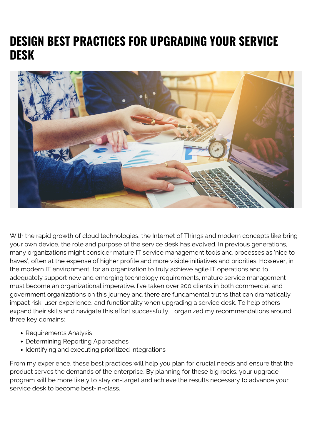## **DESIGN BEST PRACTICES FOR UPGRADING YOUR SERVICE DESK**



With the rapid growth of cloud technologies, the Internet of Things and modern concepts like bring your own device, the role and purpose of the service desk has evolved. In previous generations, many organizations might consider mature IT service management tools and processes as 'nice to haves', often at the expense of higher profile and more visible initiatives and priorities. However, in the modern IT environment, for an organization to truly achieve agile IT operations and to adequately support new and emerging technology requirements, mature service management must become an organizational imperative. I've taken over 200 clients in both commercial and government organizations on this journey and there are fundamental truths that can dramatically impact risk, user experience, and functionality when upgrading a service desk. To help others expand their skills and navigate this effort successfully, I organized my recommendations around three key domains:

- Requirements Analysis
- Determining Reporting Approaches
- Identifying and executing prioritized integrations

From my experience, these best practices will help you plan for crucial needs and ensure that the product serves the demands of the enterprise. By planning for these big rocks, your upgrade program will be more likely to stay on-target and achieve the results necessary to advance your service desk to become best-in-class.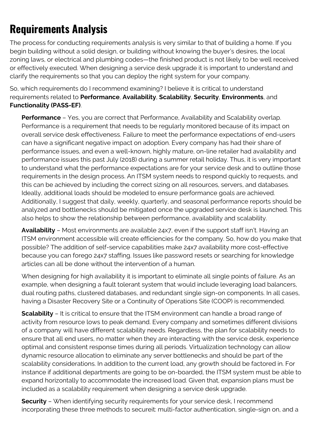## **Requirements Analysis**

The process for conducting requirements analysis is very similar to that of building a home. If you begin building without a solid design, or building without knowing the buyer's desires, the local zoning laws, or electrical and plumbing codes—the finished product is not likely to be well received or effectively executed. When designing a service desk upgrade it is important to understand and clarify the requirements so that you can deploy the right system for your company.

So, which requirements do I recommend examining? I believe it is critical to understand requirements related to **Performance**, **Availability**, **Scalability**, **Security**, **Environments**, and **Functionality (PASS-EF)**.

**Performance** – Yes, you are correct that Performance, Availability and Scalability overlap. Performance is a requirement that needs to be regularly monitored because of its impact on overall service desk effectiveness. Failure to meet the performance expectations of end-users can have a significant negative impact on adoption. Every company has had their share of performance issues, and even a well-known, highly mature, on-line retailer had availability and performance issues this past July (2018) during a summer retail holiday. Thus, it is very important to understand what the performance expectations are for your service desk and to outline those requirements in the design process. An ITSM system needs to respond quickly to requests, and this can be achieved by including the correct sizing on all resources, servers, and databases. Ideally, additional loads should be modeled to ensure performance goals are achieved. Additionally, I suggest that daily, weekly, quarterly, and seasonal performance reports should be analyzed and bottlenecks should be mitigated once the upgraded service desk is launched. This also helps to show the relationship between performance, availability and scalability.

**Availability** – Most environments are available 24x7, even if the support staff isn't. Having an ITSM environment accessible will create efficiencies for the company. So, how do you make that possible? The addition of self-service capabilities make 24x7 availability more cost-effective because you can forego 24x7 staffing. Issues like password resets or searching for knowledge articles can all be done without the intervention of a human.

When designing for high availability it is important to eliminate all single points of failure. As an example, when designing a fault tolerant system that would include leveraging load balancers, dual routing paths, clustered databases, and redundant single sign-on components. In all cases, having a Disaster Recovery Site or a Continuity of Operations Site (COOP) is recommended.

**Scalability** – It is critical to ensure that the ITSM environment can handle a broad range of activity from resource lows to peak demand. Every company and sometimes different divisions of a company will have different scalability needs. Regardless, the plan for scalability needs to ensure that all end users, no matter when they are interacting with the service desk, experience optimal and consistent response times during all periods. Virtualization technology can allow dynamic resource allocation to eliminate any server bottlenecks and should be part of the scalability considerations. In addition to the current load, any growth should be factored in. For instance if additional departments are going to be on-boarded, the ITSM system must be able to expand horizontally to accommodate the increased load. Given that, expansion plans must be included as a scalability requirement when designing a service desk upgrade.

**Security** – When identifying security requirements for your service desk, I recommend incorporating these three methods to secureit: multi-factor authentication, single-sign on, and a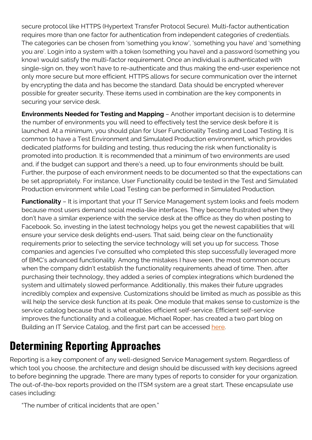secure protocol like HTTPS (Hypertext Transfer Protocol Secure). Multi-factor authentication requires more than one factor for authentication from independent categories of credentials. The categories can be chosen from 'something you know', 'something you have' and 'something you are'. Login into a system with a token (something you have) and a password (something you know) would satisfy the multi-factor requirement. Once an individual is authenticated with single-sign on, they won't have to re-authenticate and thus making the end-user experience not only more secure but more efficient. HTTPS allows for secure communication over the internet by encrypting the data and has become the standard. Data should be encrypted wherever possible for greater security. These items used in combination are the key components in securing your service desk.

**Environments Needed for Testing and Mapping** – Another important decision is to determine the number of environments you will need to effectively test the service desk before it is launched. At a minimum, you should plan for User Functionality Testing and Load Testing. It is common to have a Test Environment and Simulated Production environment, which provides dedicated platforms for building and testing, thus reducing the risk when functionality is promoted into production. It is recommended that a minimum of two environments are used and, if the budget can support and there's a need, up to four environments should be built. Further, the purpose of each environment needs to be documented so that the expectations can be set appropriately. For instance, User Functionality could be tested in the Test and Simulated Production environment while Load Testing can be performed in Simulated Production.

**Functionality** – It is important that your IT Service Management system looks and feels modern because most users demand social media-like interfaces. They become frustrated when they don't have a similar experience with the service desk at the office as they do when posting to Facebook. So, investing in the latest technology helps you get the newest capabilities that will ensure your service desk delights end-users. That said, being clear on the functionality requirements prior to selecting the service technology will set you up for success. Those companies and agencies I've consulted who completed this step successfully leveraged more of BMC's advanced functionality. Among the mistakes I have seen, the most common occurs when the company didn't establish the functionality requirements ahead of time. Then, after purchasing their technology, they added a series of complex integrations which burdened the system and ultimately slowed performance. Additionally, this makes their future upgrades incredibly complex and expensive. Customizations should be limited as much as possible as this will help the service desk function at its peak. One module that makes sense to customize is the service catalog because that is what enables efficient self-service. Efficient self-service improves the functionality and a colleague, Michael Roper, has created a two part blog on Building an IT Service Catalog, and the first part can be accessed [here](https://blogs.bmc.com/blogs/building-an-it-service-catalog-7-steps-to-success-part-1/).

## **Determining Reporting Approaches**

Reporting is a key component of any well-designed Service Management system. Regardless of which tool you choose, the architecture and design should be discussed with key decisions agreed to before beginning the upgrade. There are many types of reports to consider for your organization. The out-of-the-box reports provided on the ITSM system are a great start. These encapsulate use cases including:

"The number of critical incidents that are open."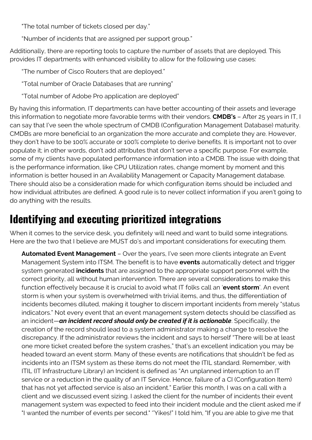"The total number of tickets closed per day."

"Number of incidents that are assigned per support group."

Additionally, there are reporting tools to capture the number of assets that are deployed. This provides IT departments with enhanced visibility to allow for the following use cases:

"The number of Cisco Routers that are deployed."

"Total number of Oracle Databases that are running"

"Total number of Adobe Pro application are deployed"

By having this information, IT departments can have better accounting of their assets and leverage this information to negotiate more favorable terms with their vendors. **CMDB's** – After 25 years in IT, I can say that I've seen the whole spectrum of CMDB (Configuration Management Database) maturity. CMDBs are more beneficial to an organization the more accurate and complete they are. However, they don't have to be 100% accurate or 100% complete to derive benefits. It is important not to over populate it; in other words, don't add attributes that don't serve a specific purpose. For example, some of my clients have populated performance information into a CMDB. The issue with doing that is the performance information, like CPU Utilization rates, change moment by moment and this information is better housed in an Availability Management or Capacity Management database. There should also be a consideration made for which configuration items should be included and how individual attributes are defined. A good rule is to never collect information if you aren't going to do anything with the results.

## **Identifying and executing prioritized integrations**

When it comes to the service desk, you definitely will need and want to build some integrations. Here are the two that I believe are MUST do's and important considerations for executing them.

**Automated Event Management** – Over the years, I've seen more clients integrate an Event Management System into ITSM. The benefit is to have **events** automatically detect and trigger system generated **incidents** that are assigned to the appropriate support personnel with the correct priority, all without human intervention. There are several considerations to make this function effectively because it is crucial to avoid what IT folks call an '**event storm**'. An event storm is when your system is overwhelmed with trivial items, and thus, the differentiation of incidents becomes diluted, making it tougher to discern important incidents from merely "status indicators." Not every event that an event management system detects should be classified as an incident—*an incident record should only be created if it is actionable*. Specifically, the creation of the record should lead to a system administrator making a change to resolve the discrepancy. If the administrator reviews the incident and says to herself "There will be at least one more ticket created before the system crashes," that's an excellent indication you may be headed toward an event storm. Many of these events are notifications that shouldn't be fed as incidents into an ITSM system as these items do not meet the ITIL standard. Remember, with ITIL (IT Infrastructure Library) an Incident is defined as "An unplanned interruption to an IT service or a reduction in the quality of an IT Service. Hence, failure of a CI (Configuration Item) that has not yet affected service is also an incident." Earlier this month, I was on a call with a client and we discussed event sizing. I asked the client for the number of incidents their event management system was expected to feed into their incident module and the client asked me if "I wanted the number of events per second." ''Yikes!" I told him, "If you are able to give me that